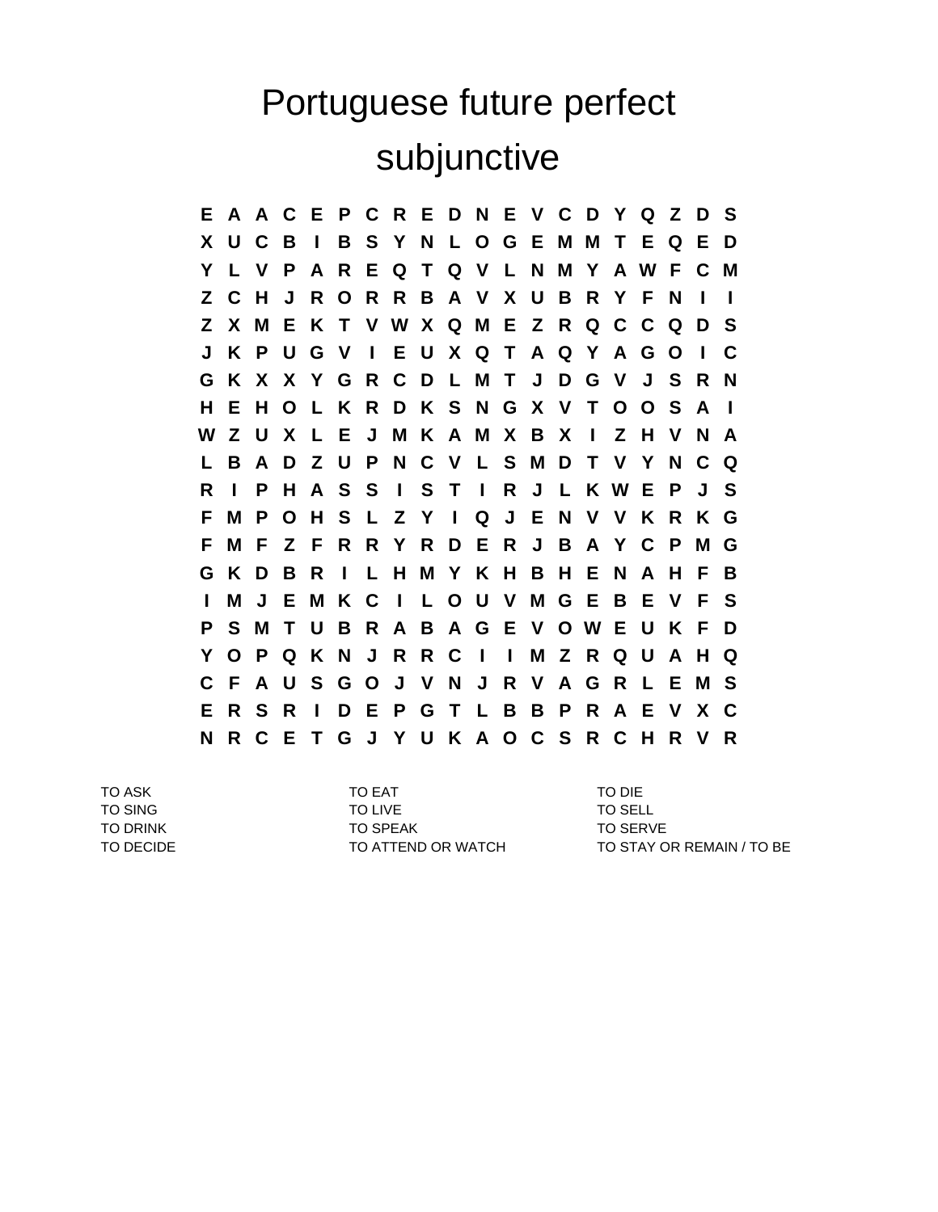## Portuguese future perfect subjunctive

**E A A C E P C R E D N E V C D Y Q Z D S X U C B I B S Y N L O G E M M T E Q E D Y L V P A R E Q T Q V L N M Y A W F C M Z C H J R O R R B A V X U B R Y F N I I Z X M E K T V W X Q M E Z R Q C C Q D S J K P U G V I E U X Q T A Q Y A G O I C G K X X Y G R C D L M T J D G V J S R N H E H O L K R D K S N G X V T O O S A I W Z U X L E J M K A M X B X I Z H V N A L B A D Z U P N C V L S M D T V Y N C Q R I P H A S S I S T I R J L K W E P J S F M P O H S L Z Y I Q J E N V V K R K G F M F Z F R R Y R D E R J B A Y C P M G G K D B R I L H M Y K H B H E N A H F B I M J E M K C I L O U V M G E B E V F S P S M T U B R A B A G E V O W E U K F D Y O P Q K N J R R C I I M Z R Q U A H Q C F A U S G O J V N J R V A G R L E M S E R S R I D E P G T L B B P R A E V X C N R C E T G J Y U K A O C S R C H R V R**

TO ASK TO EAT TO DIE TO SING TO LIVE TO LIVE TO SELL TO DRINK TO SPEAK TO SPEAK TO SPEAK TO SERVE

TO DECIDE TO ATTEND OR WATCH TO STAY OR REMAIN / TO BE